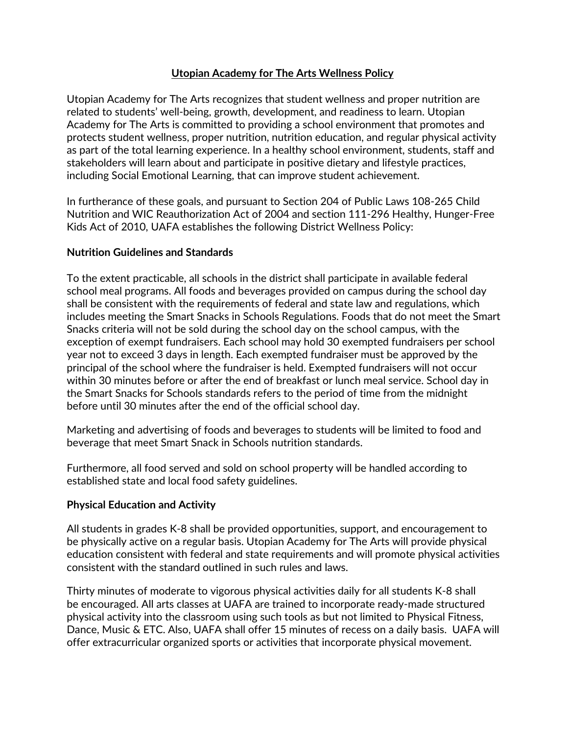# **Utopian Academy for The Arts Wellness Policy**

Utopian Academy for The Arts recognizes that student wellness and proper nutrition are related to students' well-being, growth, development, and readiness to learn. Utopian Academy for The Arts is committed to providing a school environment that promotes and protects student wellness, proper nutrition, nutrition education, and regular physical activity as part of the total learning experience. In a healthy school environment, students, staff and stakeholders will learn about and participate in positive dietary and lifestyle practices, including Social Emotional Learning, that can improve student achievement.

In furtherance of these goals, and pursuant to Section 204 of Public Laws 108-265 Child Nutrition and WIC Reauthorization Act of 2004 and section 111-296 Healthy, Hunger-Free Kids Act of 2010, UAFA establishes the following District Wellness Policy:

# **Nutrition Guidelines and Standards**

To the extent practicable, all schools in the district shall participate in available federal school meal programs. All foods and beverages provided on campus during the school day shall be consistent with the requirements of federal and state law and regulations, which includes meeting the Smart Snacks in Schools Regulations. Foods that do not meet the Smart Snacks criteria will not be sold during the school day on the school campus, with the exception of exempt fundraisers. Each school may hold 30 exempted fundraisers per school year not to exceed 3 days in length. Each exempted fundraiser must be approved by the principal of the school where the fundraiser is held. Exempted fundraisers will not occur within 30 minutes before or after the end of breakfast or lunch meal service. School day in the Smart Snacks for Schools standards refers to the period of time from the midnight before until 30 minutes after the end of the official school day.

Marketing and advertising of foods and beverages to students will be limited to food and beverage that meet Smart Snack in Schools nutrition standards.

Furthermore, all food served and sold on school property will be handled according to established state and local food safety guidelines.

# **Physical Education and Activity**

All students in grades K-8 shall be provided opportunities, support, and encouragement to be physically active on a regular basis. Utopian Academy for The Arts will provide physical education consistent with federal and state requirements and will promote physical activities consistent with the standard outlined in such rules and laws.

Thirty minutes of moderate to vigorous physical activities daily for all students K-8 shall be encouraged. All arts classes at UAFA are trained to incorporate ready-made structured physical activity into the classroom using such tools as but not limited to Physical Fitness, Dance, Music & ETC. Also, UAFA shall offer 15 minutes of recess on a daily basis. UAFA will offer extracurricular organized sports or activities that incorporate physical movement.